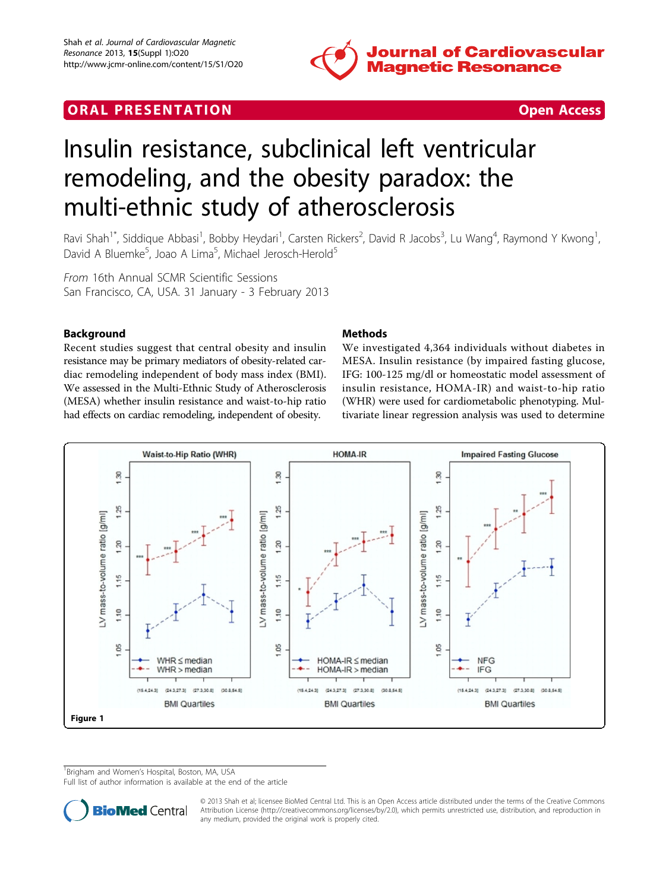

# **ORAL PRESENTATION CONSUMING ACCESS**



# Insulin resistance, subclinical left ventricular remodeling, and the obesity paradox: the multi-ethnic study of atherosclerosis

Ravi Shah<sup>1\*</sup>, Siddique Abbasi<sup>1</sup>, Bobby Heydari<sup>1</sup>, Carsten Rickers<sup>2</sup>, David R Jacobs<sup>3</sup>, Lu Wang<sup>4</sup>, Raymond Y Kwong<sup>1</sup> , David A Bluemke<sup>5</sup>, Joao A Lima<sup>5</sup>, Michael Jerosch-Herold<sup>5</sup>

From 16th Annual SCMR Scientific Sessions San Francisco, CA, USA. 31 January - 3 February 2013

## Background

Recent studies suggest that central obesity and insulin resistance may be primary mediators of obesity-related cardiac remodeling independent of body mass index (BMI). We assessed in the Multi-Ethnic Study of Atherosclerosis (MESA) whether insulin resistance and waist-to-hip ratio had effects on cardiac remodeling, independent of obesity.

### **Methods**

We investigated 4,364 individuals without diabetes in MESA. Insulin resistance (by impaired fasting glucose, IFG: 100-125 mg/dl or homeostatic model assessment of insulin resistance, HOMA-IR) and waist-to-hip ratio (WHR) were used for cardiometabolic phenotyping. Multivariate linear regression analysis was used to determine



<sup>1</sup> Brigham and Women's Hospital, Boston, MA, USA

Full list of author information is available at the end of the article



© 2013 Shah et al; licensee BioMed Central Ltd. This is an Open Access article distributed under the terms of the Creative Commons Attribution License [\(http://creativecommons.org/licenses/by/2.0](http://creativecommons.org/licenses/by/2.0)), which permits unrestricted use, distribution, and reproduction in any medium, provided the original work is properly cited.